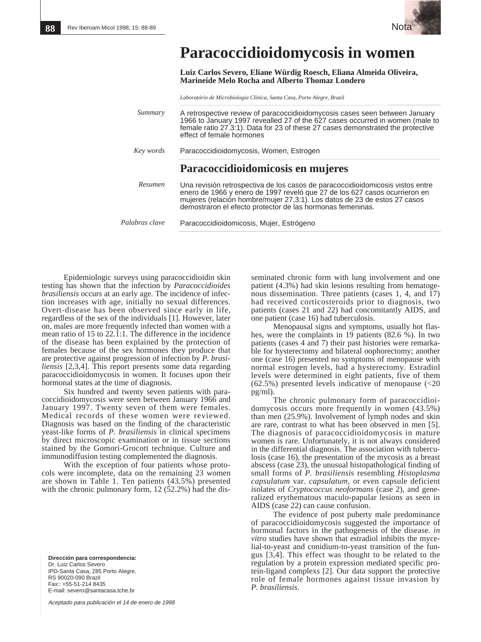

## **Paracoccidioidomycosis in women**

**Luiz Carlos Severo, Eliane Würdig Roesch, Eliana Almeida Oliveira, Marineide Melo Rocha and Alberto Thomaz Londero** 

*Laboratório de Microbiologia Clínica, Santa Casa, Porto Alegre, Brazil*

| Summary        | A retrospective review of paracoccidioidomycosis cases seen between January<br>1966 to January 1997 revealled 27 of the 627 cases occurred in women (male to<br>female ratio 27.3:1). Data for 23 of these 27 cases demonstrated the protective<br>effect of female hormones                            |
|----------------|---------------------------------------------------------------------------------------------------------------------------------------------------------------------------------------------------------------------------------------------------------------------------------------------------------|
| Key words      | Paracoccidioidomycosis, Women, Estrogen                                                                                                                                                                                                                                                                 |
|                | Paracoccidioidomicosis en mujeres                                                                                                                                                                                                                                                                       |
| Resumen        | Una revisión retrospectiva de los casos de paracoccidioidomicosis vistos entre<br>enero de 1966 y enero de 1997 reveló que 27 de los 627 casos ocurrieron en<br>mujeres (relación hombre/mujer 27,3:1). Los datos de 23 de estos 27 casos<br>demostraron el efecto protector de las hormonas femeninas. |
| Palabras clave | Paracoccidioidomicosis, Mujer, Estrógeno                                                                                                                                                                                                                                                                |

Epidemiologic surveys using paracoccidioidin skin testing has shown that the infection by *Paracoccidioides brasiliensis* occurs at an early age. The incidence of infection increases with age, initially no sexual differences. Overt-disease has been observed since early in life, regardless of the sex of the individuals [1]. However, later on, males are more frequently infected than women with a mean ratio of 15 to 22.1:1. The difference in the incidence of the disease has been explained by the protection of females because of the sex hormones they produce that are protective against progression of infection by *P. brasiliensis* [2,3,4]. This report presents some data regarding paracoccidioidomycosis in women. It focuses upon their hormonal states at the time of diagnosis.

Six hundred and twenty seven patients with paracoccidioidomycosis were seen between January 1966 and January 1997. Twenty seven of them were females. Medical records of these women were reviewed. Diagnosis was based on the finding of the characteristic yeast-like forms of *P. brasiliensis* in clinical specimens by direct microscopic examination or in tissue sections stained by the Gomori-Grocott technique. Culture and immunodiffusion testing complemented the diagnosis.

With the exception of four patients whose protocols were incomplete, data on the remaining 23 women are shown in Table 1. Ten patients (43.5%) presented with the chronic pulmonary form, 12 (52.2%) had the dis-

**Dirección para correspondencia:** Dr. Luiz Carlos Severo IPD-Santa Casa, 285 Porto Alegre, RS 90020-090 Brazil Fax:: +55-51-214 8435 E-mail: severo@santacasa.tche.br

Aceptado para publicación el 14 de enero de 1998

seminated chronic form with lung involvement and one patient (4.3%) had skin lesions resulting from hematogenous dissemination. Three patients (cases 1, 4, and 17) had received corticosteroids prior to diagnosis, two patients (cases 21 and 22) had concomitantly AIDS, and one patient (case 16) had tuberculosis.

Menopausal signs and symptoms, usually hot flashes, were the complaints in 19 patients (82.6 %). In two patients (cases 4 and 7) their past histories were remarkable for hysterectomy and bilateral oophorectomy; another one (case 16) presented no symptoms of menopause with normal estrogen levels, had a hysterectomy. Estradiol levels were determined in eight patients, five of them  $(62.5\%)$  presented levels indicative of menopause  $(<20$ pg/ml).

The chronic pulmonary form of paracoccidioidomycosis occurs more frequently in women  $(43.5\%)$ than men (25.9%). Involvement of lymph nodes and skin are rare, contrast to what has been observed in men [5]. The diagnosis of paracoccidioidomycosis in mature women is rare. Unfortunately, it is not always considered in the differential diagnosis. The association with tuberculosis (case 16), the presentation of the mycosis as a breast abscess (case 23), the unusual histopathological finding of small forms of *P. brasiliensi*s resembling *Histoplasma capsulatum* var. *capsulatum,* or even capsule deficient isolates of *Cryptococcus neoformans* (case 2), and generalized erythematous maculo-papular lesions as seen in AIDS (case 22) can cause confusion.

The evidence of post puberty male predominance of paracoccidioidomycosis suggested the importance of hormonal factors in the pathogenesis of the disease. *in vitro* studies have shown that estradiol inhibits the mycelial-to-yeast and conidium-to-yeast transition of the fungus [3,4]. This effect was thought to be related to the regulation by a protein expression mediated specific protein-ligand complexs [2]. Our data support the protective role of female hormones against tissue invasion by *P. brasiliensis*.